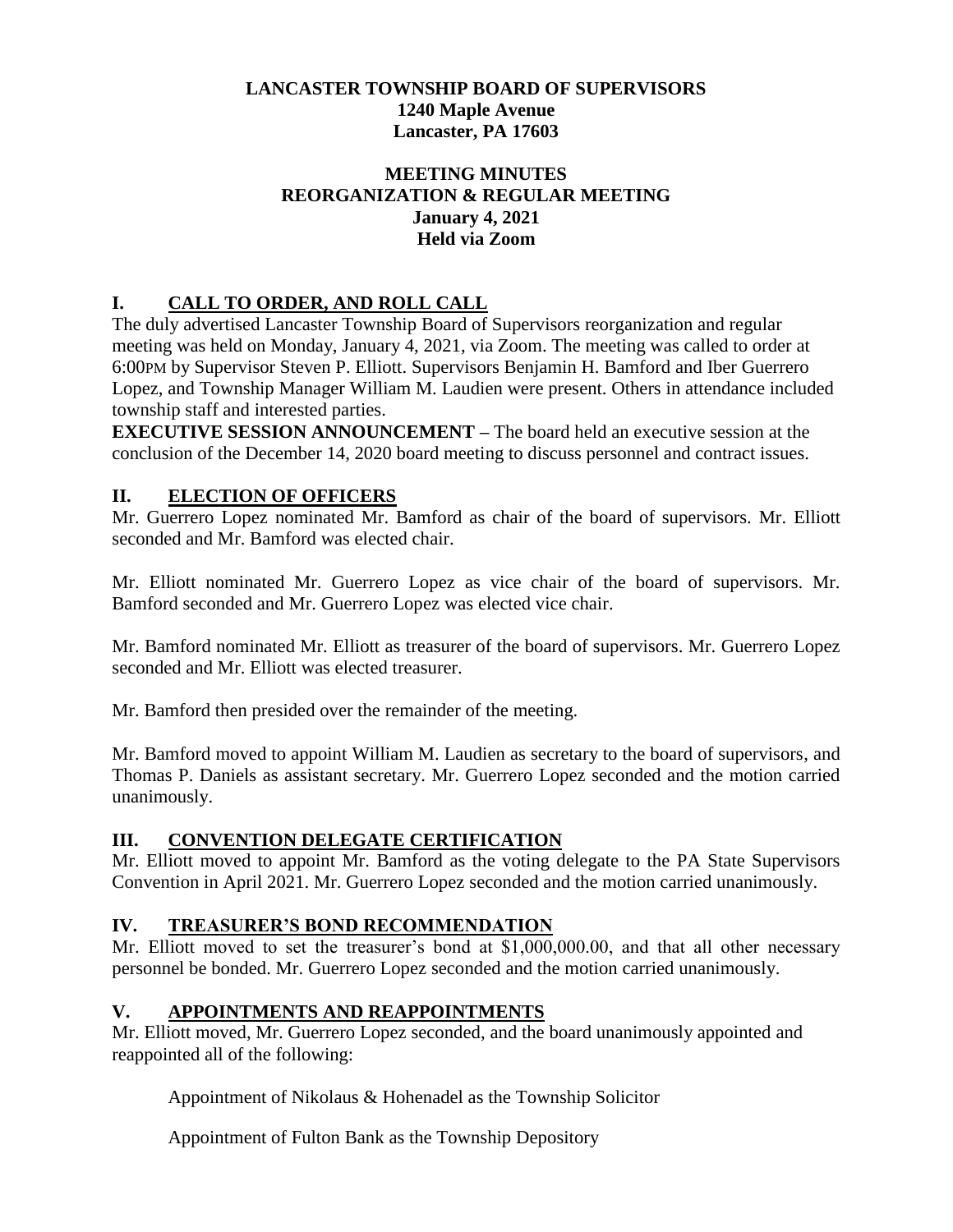### **LANCASTER TOWNSHIP BOARD OF SUPERVISORS 1240 Maple Avenue Lancaster, PA 17603**

#### **MEETING MINUTES REORGANIZATION & REGULAR MEETING January 4, 2021 Held via Zoom**

# **I. CALL TO ORDER, AND ROLL CALL**

The duly advertised Lancaster Township Board of Supervisors reorganization and regular meeting was held on Monday, January 4, 2021, via Zoom. The meeting was called to order at 6:00PM by Supervisor Steven P. Elliott. Supervisors Benjamin H. Bamford and Iber Guerrero Lopez, and Township Manager William M. Laudien were present. Others in attendance included township staff and interested parties.

**EXECUTIVE SESSION ANNOUNCEMENT –** The board held an executive session at the conclusion of the December 14, 2020 board meeting to discuss personnel and contract issues.

### **II. ELECTION OF OFFICERS**

Mr. Guerrero Lopez nominated Mr. Bamford as chair of the board of supervisors. Mr. Elliott seconded and Mr. Bamford was elected chair.

Mr. Elliott nominated Mr. Guerrero Lopez as vice chair of the board of supervisors. Mr. Bamford seconded and Mr. Guerrero Lopez was elected vice chair.

Mr. Bamford nominated Mr. Elliott as treasurer of the board of supervisors. Mr. Guerrero Lopez seconded and Mr. Elliott was elected treasurer.

Mr. Bamford then presided over the remainder of the meeting.

Mr. Bamford moved to appoint William M. Laudien as secretary to the board of supervisors, and Thomas P. Daniels as assistant secretary. Mr. Guerrero Lopez seconded and the motion carried unanimously.

#### **III. CONVENTION DELEGATE CERTIFICATION**

Mr. Elliott moved to appoint Mr. Bamford as the voting delegate to the PA State Supervisors Convention in April 2021. Mr. Guerrero Lopez seconded and the motion carried unanimously.

## **IV. TREASURER'S BOND RECOMMENDATION**

Mr. Elliott moved to set the treasurer's bond at \$1,000,000.00, and that all other necessary personnel be bonded. Mr. Guerrero Lopez seconded and the motion carried unanimously.

#### **V. APPOINTMENTS AND REAPPOINTMENTS**

Mr. Elliott moved, Mr. Guerrero Lopez seconded, and the board unanimously appointed and reappointed all of the following:

Appointment of Nikolaus & Hohenadel as the Township Solicitor

Appointment of Fulton Bank as the Township Depository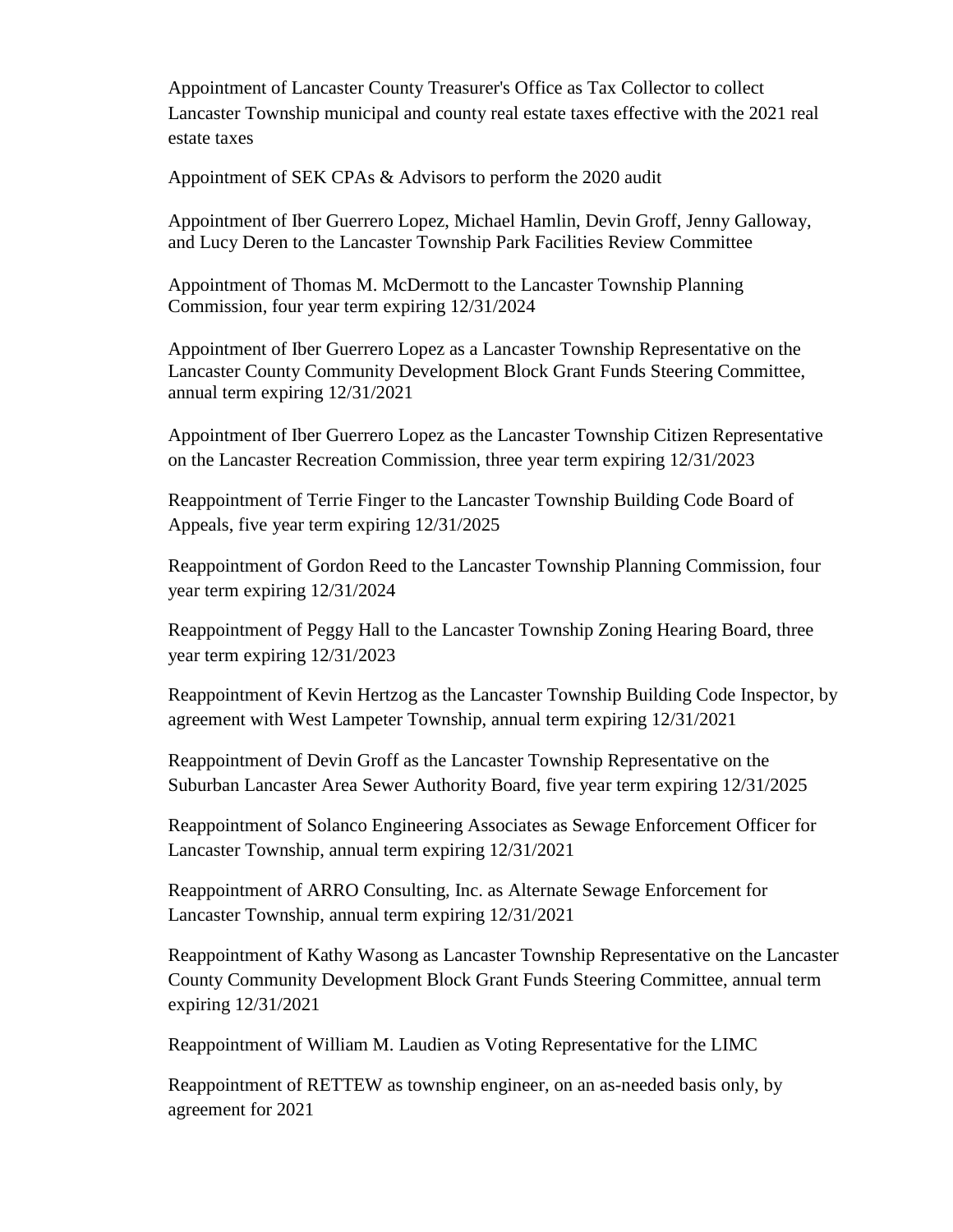Appointment of Lancaster County Treasurer's Office as Tax Collector to collect Lancaster Township municipal and county real estate taxes effective with the 2021 real estate taxes

Appointment of SEK CPAs & Advisors to perform the 2020 audit

Appointment of Iber Guerrero Lopez, Michael Hamlin, Devin Groff, Jenny Galloway, and Lucy Deren to the Lancaster Township Park Facilities Review Committee

Appointment of Thomas M. McDermott to the Lancaster Township Planning Commission, four year term expiring 12/31/2024

Appointment of Iber Guerrero Lopez as a Lancaster Township Representative on the Lancaster County Community Development Block Grant Funds Steering Committee, annual term expiring 12/31/2021

Appointment of Iber Guerrero Lopez as the Lancaster Township Citizen Representative on the Lancaster Recreation Commission, three year term expiring 12/31/2023

Reappointment of Terrie Finger to the Lancaster Township Building Code Board of Appeals, five year term expiring 12/31/2025

Reappointment of Gordon Reed to the Lancaster Township Planning Commission, four year term expiring 12/31/2024

Reappointment of Peggy Hall to the Lancaster Township Zoning Hearing Board, three year term expiring 12/31/2023

Reappointment of Kevin Hertzog as the Lancaster Township Building Code Inspector, by agreement with West Lampeter Township, annual term expiring 12/31/2021

Reappointment of Devin Groff as the Lancaster Township Representative on the Suburban Lancaster Area Sewer Authority Board, five year term expiring 12/31/2025

Reappointment of Solanco Engineering Associates as Sewage Enforcement Officer for Lancaster Township, annual term expiring 12/31/2021

Reappointment of ARRO Consulting, Inc. as Alternate Sewage Enforcement for Lancaster Township, annual term expiring 12/31/2021

Reappointment of Kathy Wasong as Lancaster Township Representative on the Lancaster County Community Development Block Grant Funds Steering Committee, annual term expiring 12/31/2021

Reappointment of William M. Laudien as Voting Representative for the LIMC

Reappointment of RETTEW as township engineer, on an as-needed basis only, by agreement for 2021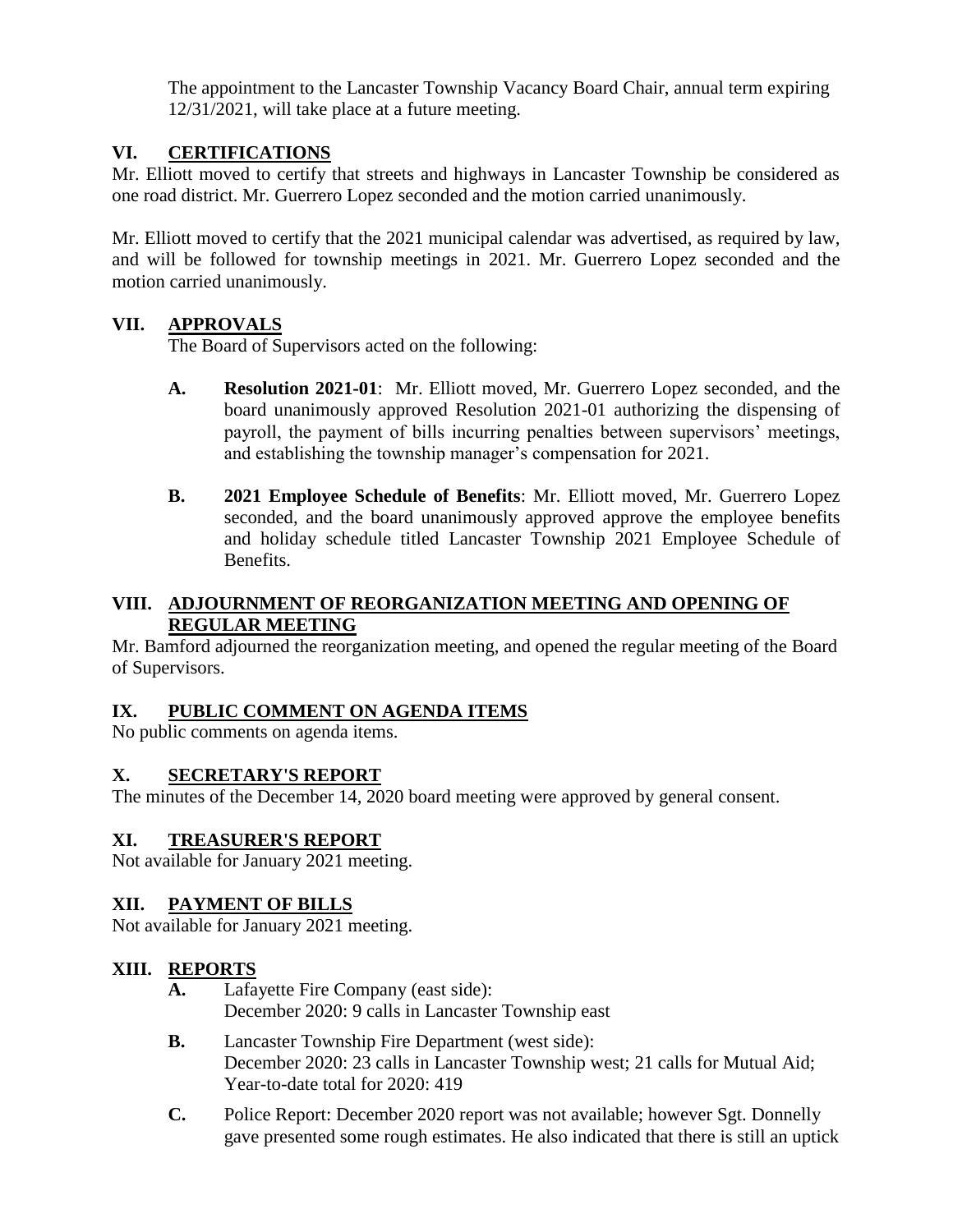The appointment to the Lancaster Township Vacancy Board Chair, annual term expiring 12/31/2021, will take place at a future meeting.

## **VI. CERTIFICATIONS**

Mr. Elliott moved to certify that streets and highways in Lancaster Township be considered as one road district. Mr. Guerrero Lopez seconded and the motion carried unanimously.

Mr. Elliott moved to certify that the 2021 municipal calendar was advertised, as required by law, and will be followed for township meetings in 2021. Mr. Guerrero Lopez seconded and the motion carried unanimously.

### **VII. APPROVALS**

The Board of Supervisors acted on the following:

- **A. Resolution 2021-01**: Mr. Elliott moved, Mr. Guerrero Lopez seconded, and the board unanimously approved Resolution 2021-01 authorizing the dispensing of payroll, the payment of bills incurring penalties between supervisors' meetings, and establishing the township manager's compensation for 2021.
- **B. 2021 Employee Schedule of Benefits**: Mr. Elliott moved, Mr. Guerrero Lopez seconded, and the board unanimously approved approve the employee benefits and holiday schedule titled Lancaster Township 2021 Employee Schedule of Benefits.

#### **VIII. ADJOURNMENT OF REORGANIZATION MEETING AND OPENING OF REGULAR MEETING**

Mr. Bamford adjourned the reorganization meeting, and opened the regular meeting of the Board of Supervisors.

#### **IX. PUBLIC COMMENT ON AGENDA ITEMS**

No public comments on agenda items.

#### **X. SECRETARY'S REPORT**

The minutes of the December 14, 2020 board meeting were approved by general consent.

#### **XI. TREASURER'S REPORT**

Not available for January 2021 meeting.

#### **XII. PAYMENT OF BILLS**

Not available for January 2021 meeting.

#### **XIII. REPORTS**

- **A.** Lafayette Fire Company (east side): December 2020: 9 calls in Lancaster Township east
- **B.** Lancaster Township Fire Department (west side): December 2020: 23 calls in Lancaster Township west; 21 calls for Mutual Aid; Year-to-date total for 2020: 419
- **C.** Police Report: December 2020 report was not available; however Sgt. Donnelly gave presented some rough estimates. He also indicated that there is still an uptick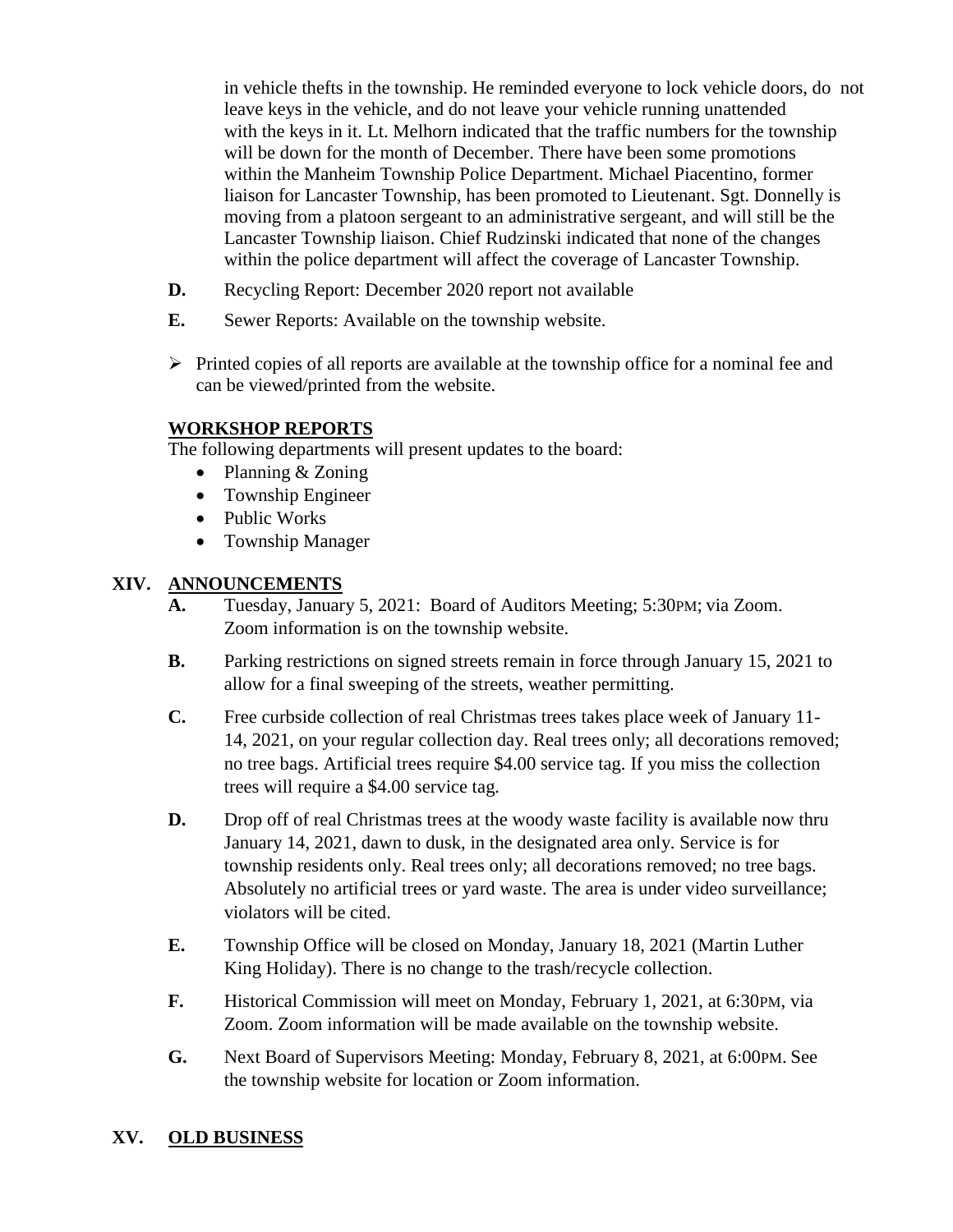in vehicle thefts in the township. He reminded everyone to lock vehicle doors, do not leave keys in the vehicle, and do not leave your vehicle running unattended with the keys in it. Lt. Melhorn indicated that the traffic numbers for the township will be down for the month of December. There have been some promotions within the Manheim Township Police Department. Michael Piacentino, former liaison for Lancaster Township, has been promoted to Lieutenant. Sgt. Donnelly is moving from a platoon sergeant to an administrative sergeant, and will still be the Lancaster Township liaison. Chief Rudzinski indicated that none of the changes within the police department will affect the coverage of Lancaster Township.

- **D.** Recycling Report: December 2020 report not available
- **E.** Sewer Reports: Available on the township website.
- $\triangleright$  Printed copies of all reports are available at the township office for a nominal fee and can be viewed/printed from the website.

### **WORKSHOP REPORTS**

The following departments will present updates to the board:

- Planning & Zoning
- Township Engineer
- Public Works
- Township Manager

### **XIV. ANNOUNCEMENTS**

- **A.** Tuesday, January 5, 2021: Board of Auditors Meeting; 5:30PM; via Zoom. Zoom information is on the township website.
- **B.** Parking restrictions on signed streets remain in force through January 15, 2021 to allow for a final sweeping of the streets, weather permitting.
- **C.** Free curbside collection of real Christmas trees takes place week of January 11- 14, 2021, on your regular collection day. Real trees only; all decorations removed; no tree bags. Artificial trees require \$4.00 service tag. If you miss the collection trees will require a \$4.00 service tag.
- **D.** Drop off of real Christmas trees at the woody waste facility is available now thru January 14, 2021, dawn to dusk, in the designated area only. Service is for township residents only. Real trees only; all decorations removed; no tree bags. Absolutely no artificial trees or yard waste. The area is under video surveillance; violators will be cited.
- **E.** Township Office will be closed on Monday, January 18, 2021 (Martin Luther King Holiday). There is no change to the trash/recycle collection.
- **F.** Historical Commission will meet on Monday, February 1, 2021, at 6:30PM, via Zoom. Zoom information will be made available on the township website.
- **G.** Next Board of Supervisors Meeting: Monday, February 8, 2021, at 6:00PM. See the township website for location or Zoom information.

## **XV. OLD BUSINESS**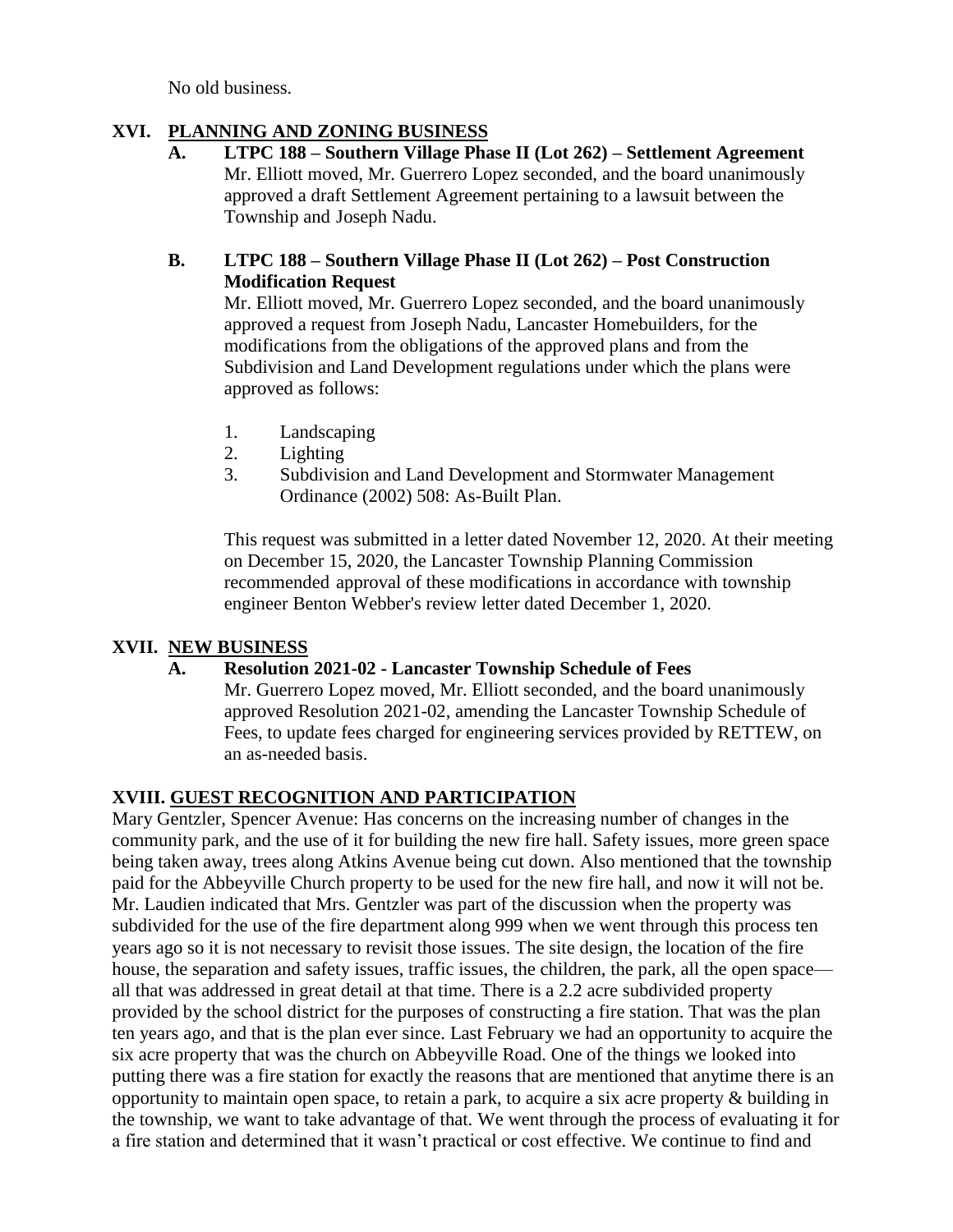No old business.

### **XVI. PLANNING AND ZONING BUSINESS**

**A. LTPC 188 – Southern Village Phase II (Lot 262) – Settlement Agreement** Mr. Elliott moved, Mr. Guerrero Lopez seconded, and the board unanimously approved a draft Settlement Agreement pertaining to a lawsuit between the Township and Joseph Nadu.

#### **B. LTPC 188 – Southern Village Phase II (Lot 262) – Post Construction Modification Request**

Mr. Elliott moved, Mr. Guerrero Lopez seconded, and the board unanimously approved a request from Joseph Nadu, Lancaster Homebuilders, for the modifications from the obligations of the approved plans and from the Subdivision and Land Development regulations under which the plans were approved as follows:

- 1. Landscaping
- 2. Lighting
- 3. Subdivision and Land Development and Stormwater Management Ordinance (2002) 508: As-Built Plan.

This request was submitted in a letter dated November 12, 2020. At their meeting on December 15, 2020, the Lancaster Township Planning Commission recommended approval of these modifications in accordance with township engineer Benton Webber's review letter dated December 1, 2020.

## **XVII. NEW BUSINESS**

## **A. Resolution 2021-02 - Lancaster Township Schedule of Fees**

Mr. Guerrero Lopez moved, Mr. Elliott seconded, and the board unanimously approved Resolution 2021-02, amending the Lancaster Township Schedule of Fees, to update fees charged for engineering services provided by RETTEW, on an as-needed basis.

## **XVIII. GUEST RECOGNITION AND PARTICIPATION**

Mary Gentzler, Spencer Avenue: Has concerns on the increasing number of changes in the community park, and the use of it for building the new fire hall. Safety issues, more green space being taken away, trees along Atkins Avenue being cut down. Also mentioned that the township paid for the Abbeyville Church property to be used for the new fire hall, and now it will not be. Mr. Laudien indicated that Mrs. Gentzler was part of the discussion when the property was subdivided for the use of the fire department along 999 when we went through this process ten years ago so it is not necessary to revisit those issues. The site design, the location of the fire house, the separation and safety issues, traffic issues, the children, the park, all the open space all that was addressed in great detail at that time. There is a 2.2 acre subdivided property provided by the school district for the purposes of constructing a fire station. That was the plan ten years ago, and that is the plan ever since. Last February we had an opportunity to acquire the six acre property that was the church on Abbeyville Road. One of the things we looked into putting there was a fire station for exactly the reasons that are mentioned that anytime there is an opportunity to maintain open space, to retain a park, to acquire a six acre property  $\&$  building in the township, we want to take advantage of that. We went through the process of evaluating it for a fire station and determined that it wasn't practical or cost effective. We continue to find and